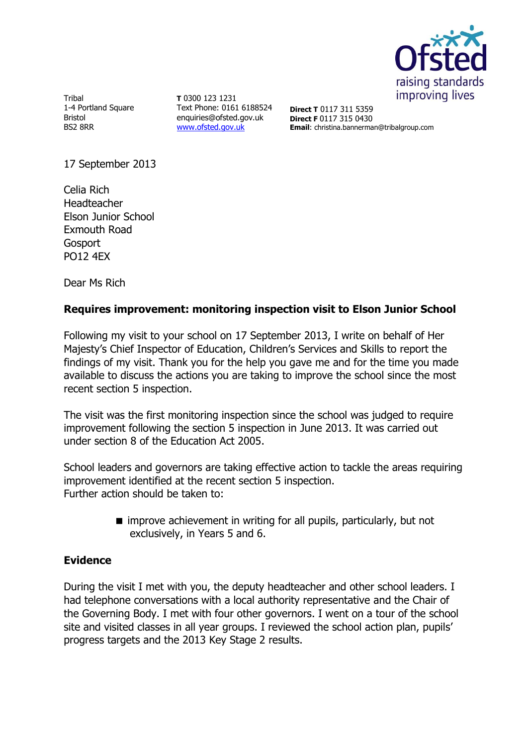

Tribal 1-4 Portland Square Bristol BS2 8RR

**T** 0300 123 1231 Text Phone: 0161 6188524 enquiries@ofsted.gov.uk [www.ofsted.gov.uk](http://www.ofsted.gov.uk/)

**Direct T** 0117 311 5359 **Direct F** 0117 315 0430 **Email**: christina.bannerman@tribalgroup.com

17 September 2013

Celia Rich Headteacher Elson Junior School Exmouth Road Gosport PO12 4EX

Dear Ms Rich

## **Requires improvement: monitoring inspection visit to Elson Junior School**

Following my visit to your school on 17 September 2013, I write on behalf of Her Majesty's Chief Inspector of Education, Children's Services and Skills to report the findings of my visit. Thank you for the help you gave me and for the time you made available to discuss the actions you are taking to improve the school since the most recent section 5 inspection.

The visit was the first monitoring inspection since the school was judged to require improvement following the section 5 inspection in June 2013. It was carried out under section 8 of the Education Act 2005.

School leaders and governors are taking effective action to tackle the areas requiring improvement identified at the recent section 5 inspection. Further action should be taken to:

> $\blacksquare$  improve achievement in writing for all pupils, particularly, but not exclusively, in Years 5 and 6.

## **Evidence**

During the visit I met with you, the deputy headteacher and other school leaders. I had telephone conversations with a local authority representative and the Chair of the Governing Body. I met with four other governors. I went on a tour of the school site and visited classes in all year groups. I reviewed the school action plan, pupils' progress targets and the 2013 Key Stage 2 results.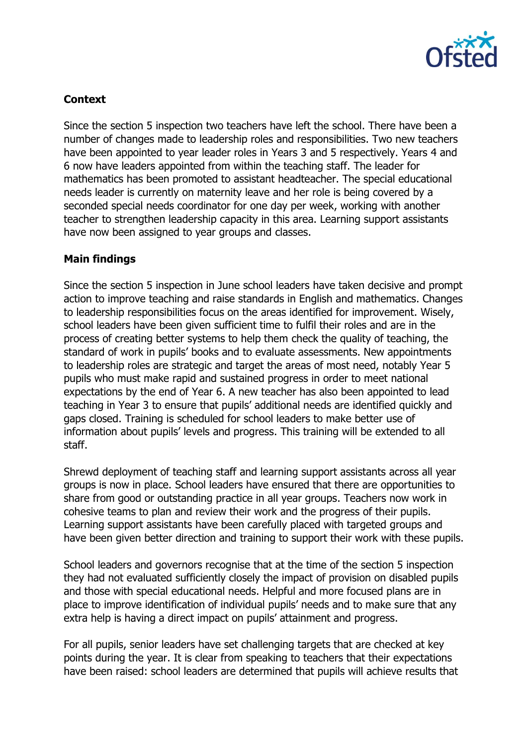

# **Context**

Since the section 5 inspection two teachers have left the school. There have been a number of changes made to leadership roles and responsibilities. Two new teachers have been appointed to year leader roles in Years 3 and 5 respectively. Years 4 and 6 now have leaders appointed from within the teaching staff. The leader for mathematics has been promoted to assistant headteacher. The special educational needs leader is currently on maternity leave and her role is being covered by a seconded special needs coordinator for one day per week, working with another teacher to strengthen leadership capacity in this area. Learning support assistants have now been assigned to year groups and classes.

## **Main findings**

Since the section 5 inspection in June school leaders have taken decisive and prompt action to improve teaching and raise standards in English and mathematics. Changes to leadership responsibilities focus on the areas identified for improvement. Wisely, school leaders have been given sufficient time to fulfil their roles and are in the process of creating better systems to help them check the quality of teaching, the standard of work in pupils' books and to evaluate assessments. New appointments to leadership roles are strategic and target the areas of most need, notably Year 5 pupils who must make rapid and sustained progress in order to meet national expectations by the end of Year 6. A new teacher has also been appointed to lead teaching in Year 3 to ensure that pupils' additional needs are identified quickly and gaps closed. Training is scheduled for school leaders to make better use of information about pupils' levels and progress. This training will be extended to all staff.

Shrewd deployment of teaching staff and learning support assistants across all year groups is now in place. School leaders have ensured that there are opportunities to share from good or outstanding practice in all year groups. Teachers now work in cohesive teams to plan and review their work and the progress of their pupils. Learning support assistants have been carefully placed with targeted groups and have been given better direction and training to support their work with these pupils.

School leaders and governors recognise that at the time of the section 5 inspection they had not evaluated sufficiently closely the impact of provision on disabled pupils and those with special educational needs. Helpful and more focused plans are in place to improve identification of individual pupils' needs and to make sure that any extra help is having a direct impact on pupils' attainment and progress.

For all pupils, senior leaders have set challenging targets that are checked at key points during the year. It is clear from speaking to teachers that their expectations have been raised: school leaders are determined that pupils will achieve results that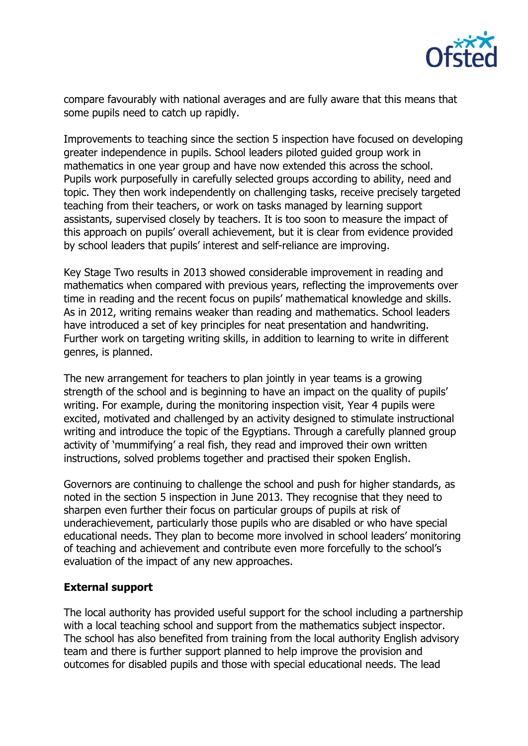

compare favourably with national averages and are fully aware that this means that some pupils need to catch up rapidly.

Improvements to teaching since the section 5 inspection have focused on developing greater independence in pupils. School leaders piloted guided group work in mathematics in one year group and have now extended this across the school. Pupils work purposefully in carefully selected groups according to ability, need and topic. They then work independently on challenging tasks, receive precisely targeted teaching from their teachers, or work on tasks managed by learning support assistants, supervised closely by teachers. It is too soon to measure the impact of this approach on pupils' overall achievement, but it is clear from evidence provided by school leaders that pupils' interest and self-reliance are improving.

Key Stage Two results in 2013 showed considerable improvement in reading and mathematics when compared with previous years, reflecting the improvements over time in reading and the recent focus on pupils' mathematical knowledge and skills. As in 2012, writing remains weaker than reading and mathematics. School leaders have introduced a set of key principles for neat presentation and handwriting. Further work on targeting writing skills, in addition to learning to write in different genres, is planned.

The new arrangement for teachers to plan jointly in year teams is a growing strength of the school and is beginning to have an impact on the quality of pupils' writing. For example, during the monitoring inspection visit, Year 4 pupils were excited, motivated and challenged by an activity designed to stimulate instructional writing and introduce the topic of the Egyptians. Through a carefully planned group activity of 'mummifying' a real fish, they read and improved their own written instructions, solved problems together and practised their spoken English.

Governors are continuing to challenge the school and push for higher standards, as noted in the section 5 inspection in June 2013. They recognise that they need to sharpen even further their focus on particular groups of pupils at risk of underachievement, particularly those pupils who are disabled or who have special educational needs. They plan to become more involved in school leaders' monitoring of teaching and achievement and contribute even more forcefully to the school's evaluation of the impact of any new approaches.

## **External support**

The local authority has provided useful support for the school including a partnership with a local teaching school and support from the mathematics subject inspector. The school has also benefited from training from the local authority English advisory team and there is further support planned to help improve the provision and outcomes for disabled pupils and those with special educational needs. The lead